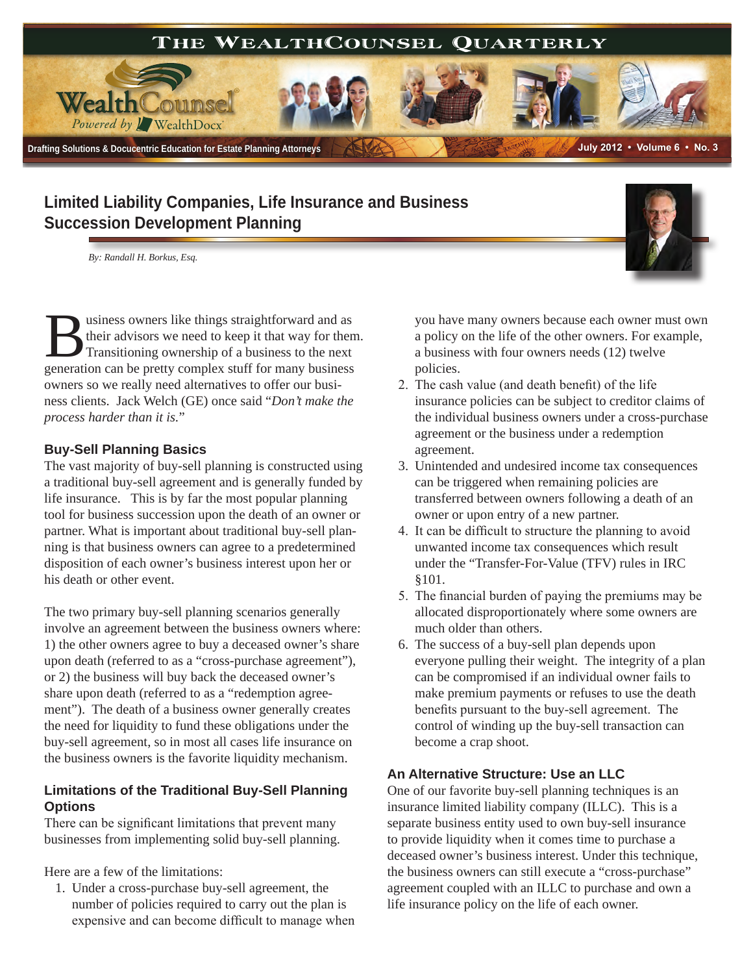

# **Limited Liability Companies, Life Insurance and Business Succession Development Planning**

*By: Randall H. Borkus, Esq.*



#### **Buy-Sell Planning Basics**

The vast majority of buy-sell planning is constructed using a traditional buy-sell agreement and is generally funded by life insurance. This is by far the most popular planning tool for business succession upon the death of an owner or partner. What is important about traditional buy-sell planning is that business owners can agree to a predetermined disposition of each owner's business interest upon her or his death or other event.

The two primary buy-sell planning scenarios generally involve an agreement between the business owners where: 1) the other owners agree to buy a deceased owner's share upon death (referred to as a "cross-purchase agreement"), or 2) the business will buy back the deceased owner's share upon death (referred to as a "redemption agreement"). The death of a business owner generally creates the need for liquidity to fund these obligations under the buy-sell agreement, so in most all cases life insurance on the business owners is the favorite liquidity mechanism.

## **Limitations of the Traditional Buy-Sell Planning Options**

There can be significant limitations that prevent many businesses from implementing solid buy-sell planning.

Here are a few of the limitations:

1. Under a cross-purchase buy-sell agreement, the number of policies required to carry out the plan is expensive and can become difficult to manage when you have many owners because each owner must own a policy on the life of the other owners. For example, a business with four owners needs (12) twelve policies.

- 2. The cash value (and death benefit) of the life insurance policies can be subject to creditor claims of the individual business owners under a cross-purchase agreement or the business under a redemption agreement.
- 3. Unintended and undesired income tax consequences can be triggered when remaining policies are transferred between owners following a death of an owner or upon entry of a new partner.
- 4. It can be difficult to structure the planning to avoid unwanted income tax consequences which result under the "Transfer-For-Value (TFV) rules in IRC §101.
- 5. The financial burden of paying the premiums may be allocated disproportionately where some owners are much older than others.
- 6. The success of a buy-sell plan depends upon everyone pulling their weight. The integrity of a plan can be compromised if an individual owner fails to make premium payments or refuses to use the death benefits pursuant to the buy-sell agreement. The control of winding up the buy-sell transaction can become a crap shoot.

## **An Alternative Structure: Use an LLC**

One of our favorite buy-sell planning techniques is an insurance limited liability company (ILLC). This is a separate business entity used to own buy-sell insurance to provide liquidity when it comes time to purchase a deceased owner's business interest. Under this technique, the business owners can still execute a "cross-purchase" agreement coupled with an ILLC to purchase and own a life insurance policy on the life of each owner.